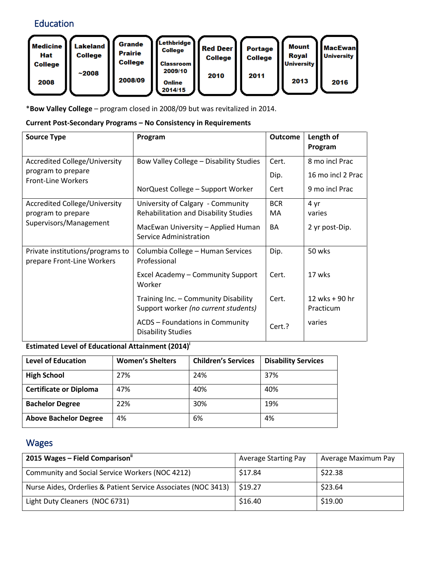# Education



\***Bow Valley College** – program closed in 2008/09 but was revitalized in 2014.

#### **Current Post-Secondary Programs – No Consistency in Requirements**

| <b>Source Type</b>                                                                   | Program                                                                      | <b>Outcome</b>   | Length of<br>Program                |
|--------------------------------------------------------------------------------------|------------------------------------------------------------------------------|------------------|-------------------------------------|
| <b>Accredited College/University</b><br>program to prepare                           | Bow Valley College - Disability Studies                                      | Cert.<br>Dip.    | 8 mo incl Prac<br>16 mo incl 2 Prac |
| <b>Front-Line Workers</b>                                                            | NorQuest College - Support Worker                                            | Cert             | 9 mo incl Prac                      |
| <b>Accredited College/University</b><br>program to prepare<br>Supervisors/Management | University of Calgary - Community<br>Rehabilitation and Disability Studies   | <b>BCR</b><br>MA | 4 yr<br>varies                      |
|                                                                                      | MacEwan University - Applied Human<br>Service Administration                 | BA               | 2 yr post-Dip.                      |
| Private institutions/programs to<br>prepare Front-Line Workers                       | Columbia College - Human Services<br>Professional                            | Dip.             | 50 wks                              |
|                                                                                      | Excel Academy - Community Support<br>Worker                                  | Cert.            | 17 wks                              |
|                                                                                      | Training Inc. - Community Disability<br>Support worker (no current students) | Cert.            | 12 wks + 90 hr<br>Practicum         |
|                                                                                      | <b>ACDS - Foundations in Community</b><br><b>Disability Studies</b>          | Cert.?           | varies                              |

#### **Estimated Level of Educational Attainment (2014)<sup>i</sup>**

| <b>Level of Education</b>     | <b>Women's Shelters</b> | <b>Children's Services</b> | <b>Disability Services</b> |
|-------------------------------|-------------------------|----------------------------|----------------------------|
| <b>High School</b>            | 27%                     | 24%                        | 37%                        |
| <b>Certificate or Diploma</b> | 47%                     | 40%                        | 40%                        |
| <b>Bachelor Degree</b>        | 22%                     | 30%                        | 19%                        |
| <b>Above Bachelor Degree</b>  | 4%                      | 6%                         | 4%                         |

## Wages

| 2015 Wages - Field Comparison"                                 | <b>Average Starting Pay</b> | Average Maximum Pay |
|----------------------------------------------------------------|-----------------------------|---------------------|
| Community and Social Service Workers (NOC 4212)                | \$17.84                     | \$22.38             |
| Nurse Aides, Orderlies & Patient Service Associates (NOC 3413) | \$19.27                     | \$23.64             |
| Light Duty Cleaners (NOC 6731)                                 | \$16.40                     | \$19.00             |